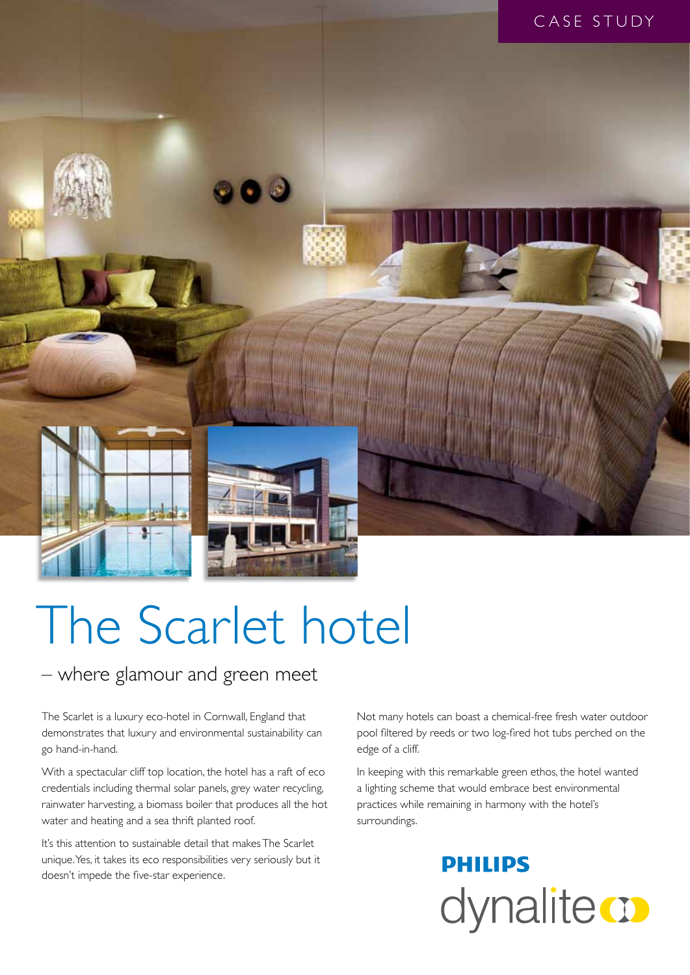

# The Scarlet hotel

#### – where glamour and green meet

The Scarlet is a luxury eco-hotel in Cornwall, England that demonstrates that luxury and environmental sustainability can go hand-in-hand.

With a spectacular cliff top location, the hotel has a raft of eco credentials including thermal solar panels, grey water recycling, rainwater harvesting, a biomass boiler that produces all the hot water and heating and a sea thrift planted roof.

It's this attention to sustainable detail that makes The Scarlet unique. Yes, it takes its eco responsibilities very seriously but it doesn't impede the five-star experience.

Not many hotels can boast a chemical-free fresh water outdoor pool filtered by reeds or two log-fired hot tubs perched on the edge of a cliff.

In keeping with this remarkable green ethos, the hotel wanted a lighting scheme that would embrace best environmental practices while remaining in harmony with the hotel's surroundings.

## **PHILIPS** dynalite **o**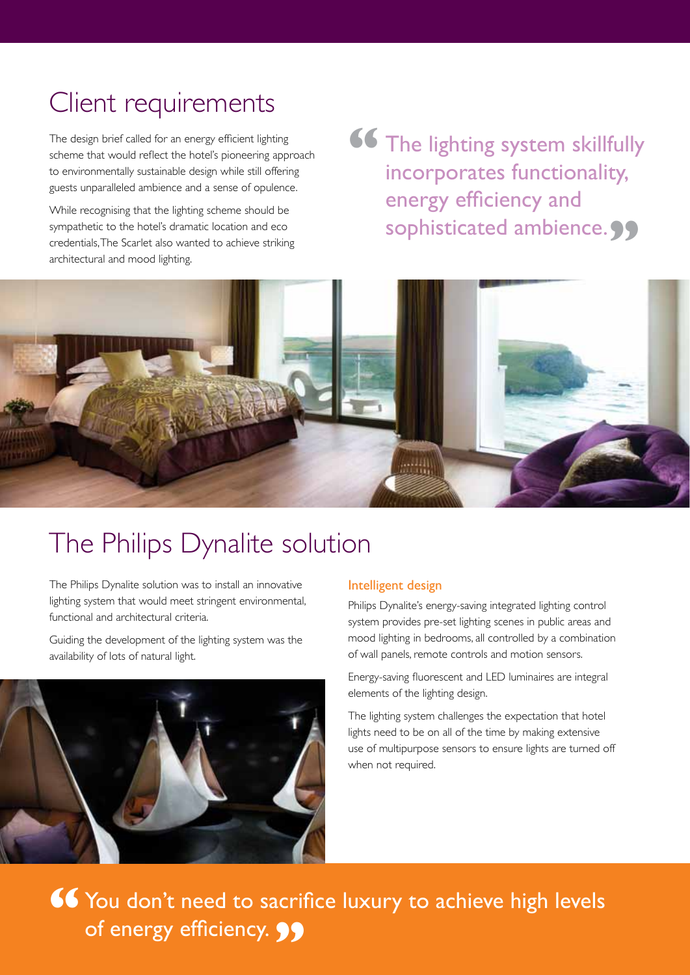## Client requirements

The design brief called for an energy efficient lighting scheme that would reflect the hotel's pioneering approach to environmentally sustainable design while still offering guests unparalleled ambience and a sense of opulence.

While recognising that the lighting scheme should be sympathetic to the hotel's dramatic location and eco credentials, The Scarlet also wanted to achieve striking architectural and mood lighting.

The lighting system skillfully incorporates functionality, energy efficiency and sophisticated ambience. 99 **"**



## The Philips Dynalite solution

The Philips Dynalite solution was to install an innovative lighting system that would meet stringent environmental, functional and architectural criteria.

Guiding the development of the lighting system was the availability of lots of natural light.



#### Intelligent design

Philips Dynalite's energy-saving integrated lighting control system provides pre-set lighting scenes in public areas and mood lighting in bedrooms, all controlled by a combination of wall panels, remote controls and motion sensors.

Energy-saving fluorescent and LED luminaires are integral elements of the lighting design.

The lighting system challenges the expectation that hotel lights need to be on all of the time by making extensive use of multipurpose sensors to ensure lights are turned off when not required.

**66** You don't need to sacrifice luxury to achieve high levels of energy efficiency.**"**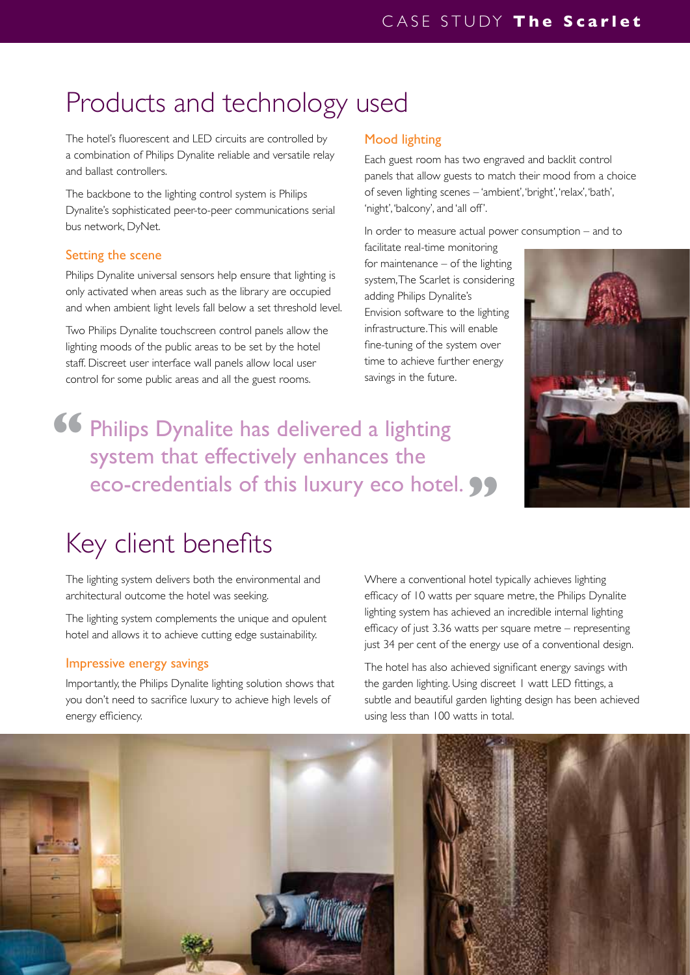## Products and technology used

The hotel's fluorescent and LED circuits are controlled by a combination of Philips Dynalite reliable and versatile relay and ballast controllers.

The backbone to the lighting control system is Philips Dynalite's sophisticated peer-to-peer communications serial bus network, DyNet.

#### Setting the scene

Philips Dynalite universal sensors help ensure that lighting is only activated when areas such as the library are occupied and when ambient light levels fall below a set threshold level.

Two Philips Dynalite touchscreen control panels allow the lighting moods of the public areas to be set by the hotel staff. Discreet user interface wall panels allow local user control for some public areas and all the guest rooms.

#### Mood lighting

Each guest room has two engraved and backlit control panels that allow guests to match their mood from a choice of seven lighting scenes – 'ambient', 'bright', 'relax', 'bath', 'night', 'balcony', and 'all off'.

In order to measure actual power consumption – and to

facilitate real-time monitoring for maintenance – of the lighting system, The Scarlet is considering adding Philips Dynalite's Envision software to the lighting infrastructure. This will enable fine-tuning of the system over time to achieve further energy savings in the future.



### Philips Dynalite has delivered a lighting system that effectively enhances the eco-credentials of this luxury eco hotel. **99 "**

## Key client benefits

The lighting system delivers both the environmental and architectural outcome the hotel was seeking.

The lighting system complements the unique and opulent hotel and allows it to achieve cutting edge sustainability.

#### Impressive energy savings

Importantly, the Philips Dynalite lighting solution shows that you don't need to sacrifice luxury to achieve high levels of energy efficiency.

Where a conventional hotel typically achieves lighting efficacy of 10 watts per square metre, the Philips Dynalite lighting system has achieved an incredible internal lighting efficacy of just 3.36 watts per square metre – representing just 34 per cent of the energy use of a conventional design.

The hotel has also achieved significant energy savings with the garden lighting. Using discreet 1 watt LED fittings, a subtle and beautiful garden lighting design has been achieved using less than 100 watts in total.